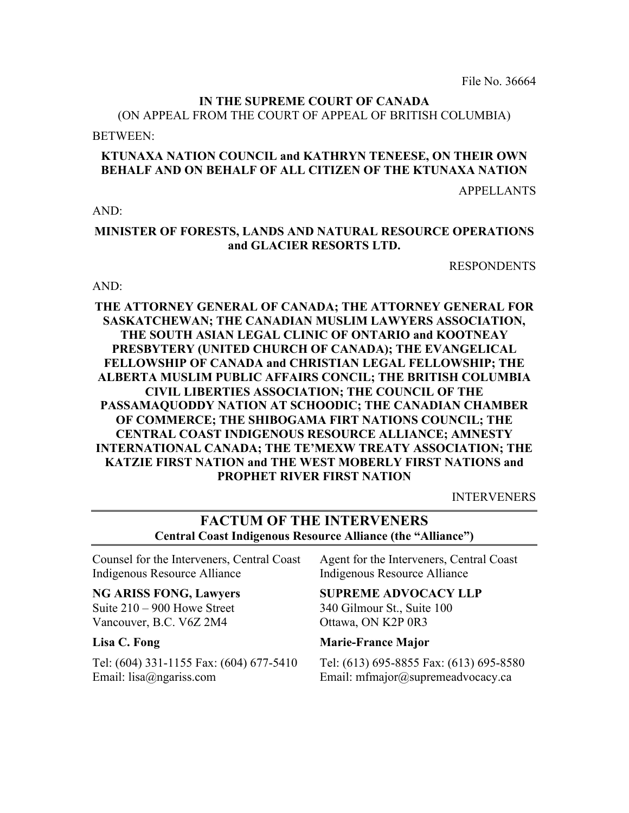File No. 36664

# **IN THE SUPREME COURT OF CANADA**

(ON APPEAL FROM THE COURT OF APPEAL OF BRITISH COLUMBIA)

BETWEEN:

# **KTUNAXA NATION COUNCIL and KATHRYN TENEESE, ON THEIR OWN BEHALF AND ON BEHALF OF ALL CITIZEN OF THE KTUNAXA NATION**

APPELLANTS

 $AND<sup>2</sup>$ 

### **MINISTER OF FORESTS, LANDS AND NATURAL RESOURCE OPERATIONS and GLACIER RESORTS LTD.**

RESPONDENTS

#### AND:

### **THE ATTORNEY GENERAL OF CANADA; THE ATTORNEY GENERAL FOR SASKATCHEWAN; THE CANADIAN MUSLIM LAWYERS ASSOCIATION, THE SOUTH ASIAN LEGAL CLINIC OF ONTARIO and KOOTNEAY PRESBYTERY (UNITED CHURCH OF CANADA); THE EVANGELICAL FELLOWSHIP OF CANADA and CHRISTIAN LEGAL FELLOWSHIP; THE ALBERTA MUSLIM PUBLIC AFFAIRS CONCIL; THE BRITISH COLUMBIA CIVIL LIBERTIES ASSOCIATION; THE COUNCIL OF THE PASSAMAQUODDY NATION AT SCHOODIC; THE CANADIAN CHAMBER OF COMMERCE; THE SHIBOGAMA FIRT NATIONS COUNCIL; THE CENTRAL COAST INDIGENOUS RESOURCE ALLIANCE; AMNESTY INTERNATIONAL CANADA; THE TE'MEXW TREATY ASSOCIATION; THE KATZIE FIRST NATION and THE WEST MOBERLY FIRST NATIONS and PROPHET RIVER FIRST NATION**

INTERVENERS

# **FACTUM OF THE INTERVENERS Central Coast Indigenous Resource Alliance (the "Alliance")**

Counsel for the Interveners, Central Coast Indigenous Resource Alliance

# **NG ARISS FONG, Lawyers**

Suite 210 – 900 Howe Street Vancouver, B.C. V6Z 2M4

#### **Lisa C. Fong**

Tel: (604) 331-1155 Fax: (604) 677-5410 Email: lisa@ngariss.com

Agent for the Interveners, Central Coast Indigenous Resource Alliance

# **SUPREME ADVOCACY LLP**

340 Gilmour St., Suite 100 Ottawa, ON K2P 0R3

#### **Marie-France Major**

Tel: (613) 695-8855 Fax: (613) 695-8580 Email: mfmajor@supremeadvocacy.ca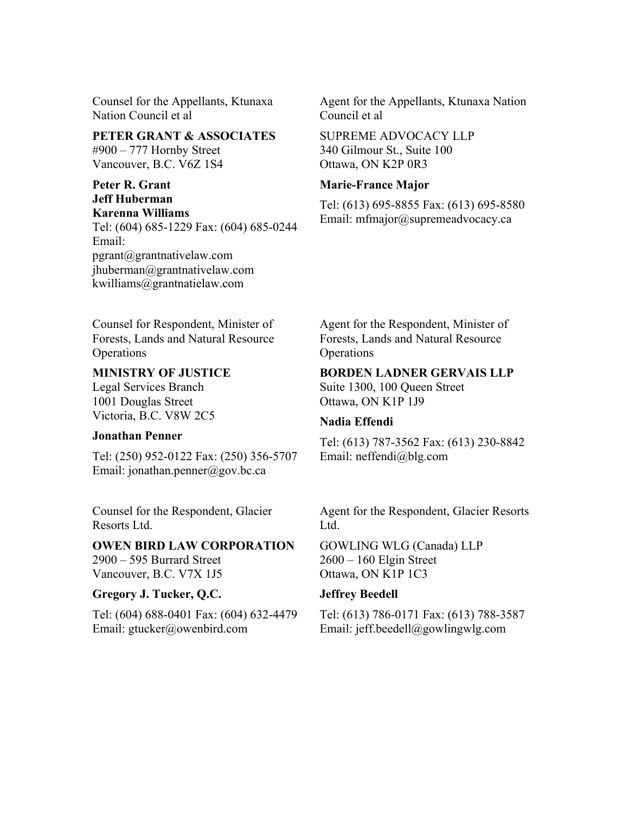Counsel for the Appellants, Ktunaxa Nation Council et al

**PETER GRANT & ASSOCIATES** #900 – 777 Hornby Street Vancouver, B.C. V6Z 1S4

#### **Peter R. Grant Jeff Huberman Karenna Williams**

Tel: (604) 685-1229 Fax: (604) 685-0244 Email: pgrant@grantnativelaw.com jhuberman@grantnativelaw.com kwilliams@grantnatielaw.com

Agent for the Appellants, Ktunaxa Nation Council et al

SUPREME ADVOCACY LLP 340 Gilmour St., Suite 100 Ottawa, ON K2P 0R3

#### **Marie-France Major**

Tel: (613) 695-8855 Fax: (613) 695-8580 Email: mfmajor@supremeadvocacy.ca

Counsel for Respondent, Minister of Forests, Lands and Natural Resource **Operations** 

### **MINISTRY OF JUSTICE**

Legal Services Branch 1001 Douglas Street Victoria, B.C. V8W 2C5

#### **Jonathan Penner**

Tel: (250) 952-0122 Fax: (250) 356-5707 Email: jonathan.penner@gov.bc.ca

Counsel for the Respondent, Glacier Resorts Ltd.

#### **OWEN BIRD LAW CORPORATION** 2900 – 595 Burrard Street

Vancouver, B.C. V7X 1J5

# **Gregory J. Tucker, Q.C.**

Tel: (604) 688-0401 Fax: (604) 632-4479 Email: gtucker@owenbird.com

Agent for the Respondent, Minister of Forests, Lands and Natural Resource **Operations** 

#### **BORDEN LADNER GERVAIS LLP**

Suite 1300, 100 Queen Street Ottawa, ON K1P 1J9

# **Nadia Effendi**

Tel: (613) 787-3562 Fax: (613) 230-8842 Email: neffendi@blg.com

Agent for the Respondent, Glacier Resorts Ltd.

GOWLING WLG (Canada) LLP 2600 – 160 Elgin Street Ottawa, ON K1P 1C3

# **Jeffrey Beedell**

Tel: (613) 786-0171 Fax: (613) 788-3587 Email: jeff.beedell@gowlingwlg.com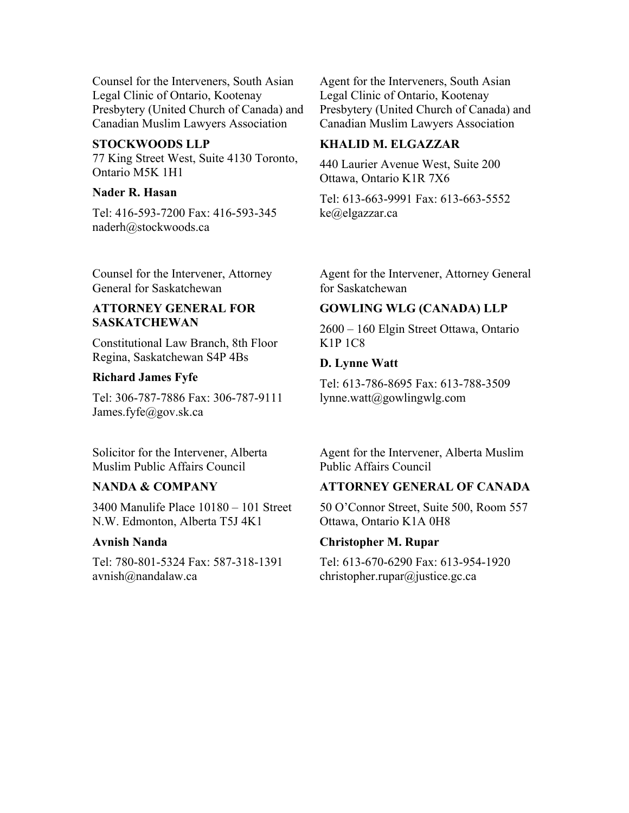Counsel for the Interveners, South Asian Legal Clinic of Ontario, Kootenay Presbytery (United Church of Canada) and Canadian Muslim Lawyers Association

#### **STOCKWOODS LLP**

77 King Street West, Suite 4130 Toronto, Ontario M5K 1H1

#### **Nader R. Hasan**

Tel: 416-593-7200 Fax: 416-593-345 naderh@stockwoods.ca

Counsel for the Intervener, Attorney General for Saskatchewan

#### **ATTORNEY GENERAL FOR SASKATCHEWAN**

Constitutional Law Branch, 8th Floor Regina, Saskatchewan S4P 4Bs

#### **Richard James Fyfe**

Tel: 306-787-7886 Fax: 306-787-9111 James.fyfe@gov.sk.ca

Solicitor for the Intervener, Alberta Muslim Public Affairs Council

#### **NANDA & COMPANY**

3400 Manulife Place 10180 – 101 Street N.W. Edmonton, Alberta T5J 4K1

#### **Avnish Nanda**

Tel: 780-801-5324 Fax: 587-318-1391 avnish@nandalaw.ca

Agent for the Interveners, South Asian Legal Clinic of Ontario, Kootenay Presbytery (United Church of Canada) and Canadian Muslim Lawyers Association

#### **KHALID M. ELGAZZAR**

440 Laurier Avenue West, Suite 200 Ottawa, Ontario K1R 7X6

Tel: 613-663-9991 Fax: 613-663-5552 ke@elgazzar.ca

Agent for the Intervener, Attorney General for Saskatchewan

#### **GOWLING WLG (CANADA) LLP**

2600 – 160 Elgin Street Ottawa, Ontario K1P 1C8

#### **D. Lynne Watt**

Tel: 613-786-8695 Fax: 613-788-3509 lynne.watt@gowlingwlg.com

Agent for the Intervener, Alberta Muslim Public Affairs Council

#### **ATTORNEY GENERAL OF CANADA**

50 O'Connor Street, Suite 500, Room 557 Ottawa, Ontario K1A 0H8

#### **Christopher M. Rupar**

Tel: 613-670-6290 Fax: 613-954-1920 christopher.rupar@justice.gc.ca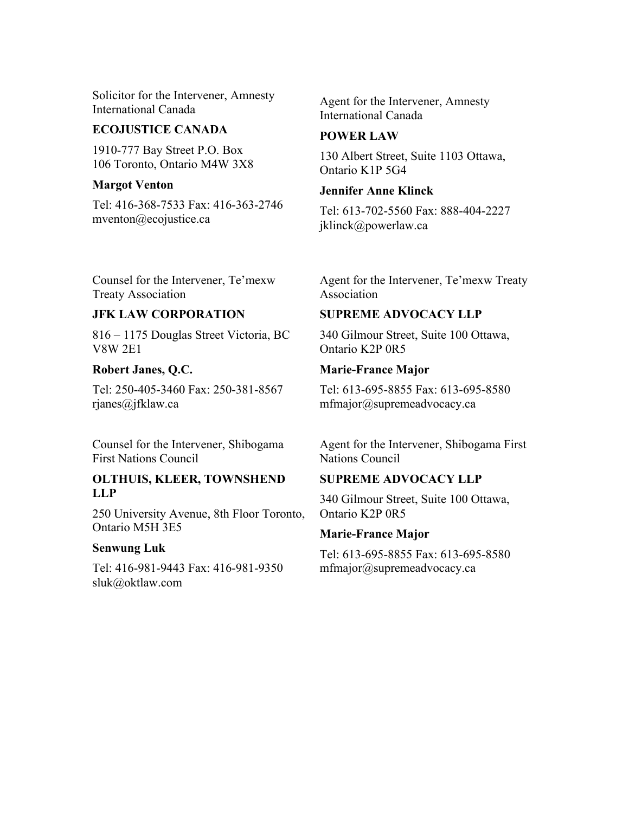Solicitor for the Intervener, Amnesty International Canada

#### **ECOJUSTICE CANADA**

1910-777 Bay Street P.O. Box 106 Toronto, Ontario M4W 3X8

#### **Margot Venton**

Tel: 416-368-7533 Fax: 416-363-2746 mventon@ecojustice.ca

Agent for the Intervener, Amnesty International Canada

# **POWER LAW**

130 Albert Street, Suite 1103 Ottawa, Ontario K1P 5G4

#### **Jennifer Anne Klinck**

Tel: 613-702-5560 Fax: 888-404-2227 jklinck@powerlaw.ca

Counsel for the Intervener, Te'mexw Treaty Association

# **JFK LAW CORPORATION**

816 – 1175 Douglas Street Victoria, BC V8W 2E1

#### **Robert Janes, Q.C.**

Tel: 250-405-3460 Fax: 250-381-8567 rjanes@jfklaw.ca

Counsel for the Intervener, Shibogama First Nations Council

#### **OLTHUIS, KLEER, TOWNSHEND LLP**

250 University Avenue, 8th Floor Toronto, Ontario M5H 3E5

#### **Senwung Luk**

Tel: 416-981-9443 Fax: 416-981-9350 sluk@oktlaw.com

Agent for the Intervener, Te'mexw Treaty Association

# **SUPREME ADVOCACY LLP**

340 Gilmour Street, Suite 100 Ottawa, Ontario K2P 0R5

#### **Marie-France Major**

Tel: 613-695-8855 Fax: 613-695-8580 mfmajor@supremeadvocacy.ca

Agent for the Intervener, Shibogama First Nations Council

# **SUPREME ADVOCACY LLP**

340 Gilmour Street, Suite 100 Ottawa, Ontario K2P 0R5

# **Marie-France Major**

Tel: 613-695-8855 Fax: 613-695-8580 mfmajor@supremeadvocacy.ca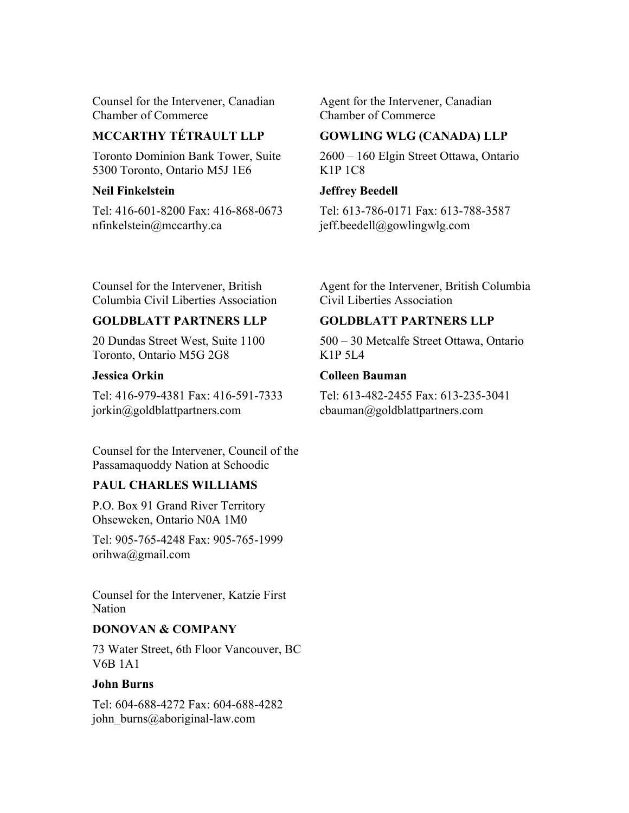Counsel for the Intervener, Canadian Chamber of Commerce

# **MCCARTHY TÉTRAULT LLP**

Toronto Dominion Bank Tower, Suite 5300 Toronto, Ontario M5J 1E6

### **Neil Finkelstein**

Tel: 416-601-8200 Fax: 416-868-0673 nfinkelstein@mccarthy.ca

Agent for the Intervener, Canadian Chamber of Commerce

# **GOWLING WLG (CANADA) LLP**

2600 – 160 Elgin Street Ottawa, Ontario K1P 1C8

# **Jeffrey Beedell**

Tel: 613-786-0171 Fax: 613-788-3587 jeff.beedell@gowlingwlg.com

Counsel for the Intervener, British Columbia Civil Liberties Association

# **GOLDBLATT PARTNERS LLP**

20 Dundas Street West, Suite 1100 Toronto, Ontario M5G 2G8

# **Jessica Orkin**

Tel: 416-979-4381 Fax: 416-591-7333 jorkin@goldblattpartners.com

Counsel for the Intervener, Council of the Passamaquoddy Nation at Schoodic

# **PAUL CHARLES WILLIAMS**

P.O. Box 91 Grand River Territory Ohseweken, Ontario N0A 1M0

Tel: 905-765-4248 Fax: 905-765-1999 orihwa@gmail.com

Counsel for the Intervener, Katzie First **Nation** 

# **DONOVAN & COMPANY**

73 Water Street, 6th Floor Vancouver, BC V6B 1A1

# **John Burns**

Tel: 604-688-4272 Fax: 604-688-4282 john\_burns@aboriginal-law.com

Agent for the Intervener, British Columbia Civil Liberties Association

# **GOLDBLATT PARTNERS LLP**

500 – 30 Metcalfe Street Ottawa, Ontario K1P 5L4

# **Colleen Bauman**

Tel: 613-482-2455 Fax: 613-235-3041 cbauman@goldblattpartners.com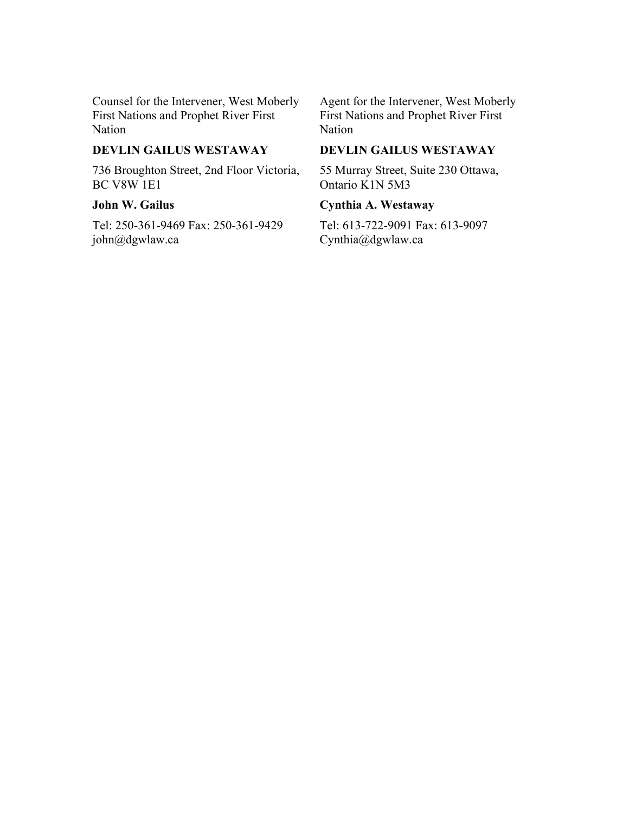Counsel for the Intervener, West Moberly First Nations and Prophet River First Nation

### **DEVLIN GAILUS WESTAWAY**

736 Broughton Street, 2nd Floor Victoria, BC V8W 1E1

# **John W. Gailus**

Tel: 250-361-9469 Fax: 250-361-9429 john@dgwlaw.ca

Agent for the Intervener, West Moberly First Nations and Prophet River First Nation

# **DEVLIN GAILUS WESTAWAY**

55 Murray Street, Suite 230 Ottawa, Ontario K1N 5M3

#### **Cynthia A. Westaway**

Tel: 613-722-9091 Fax: 613-9097 Cynthia@dgwlaw.ca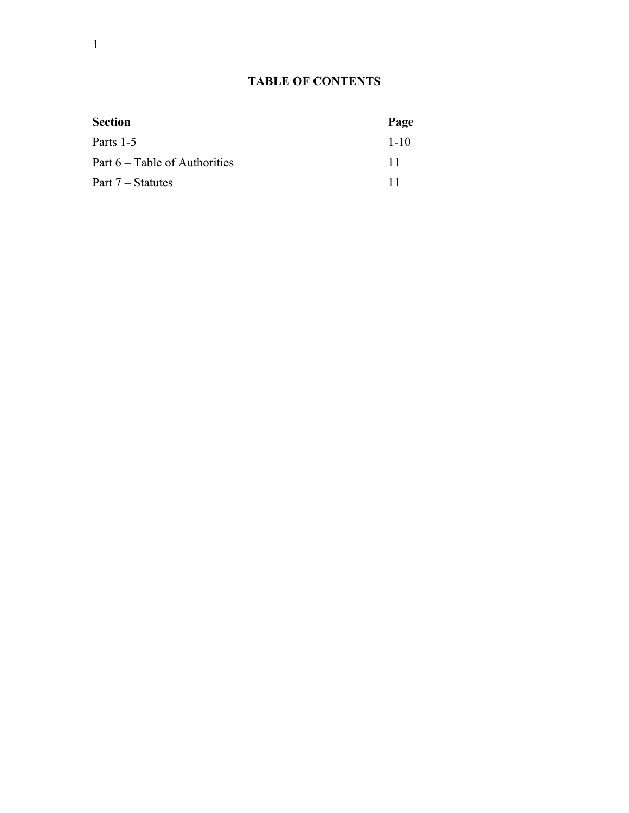# **TABLE OF CONTENTS**

| <b>Section</b>                | Page     |
|-------------------------------|----------|
| Parts 1-5                     | $1 - 10$ |
| Part 6 – Table of Authorities | 11       |
| Part 7 – Statutes             | 11       |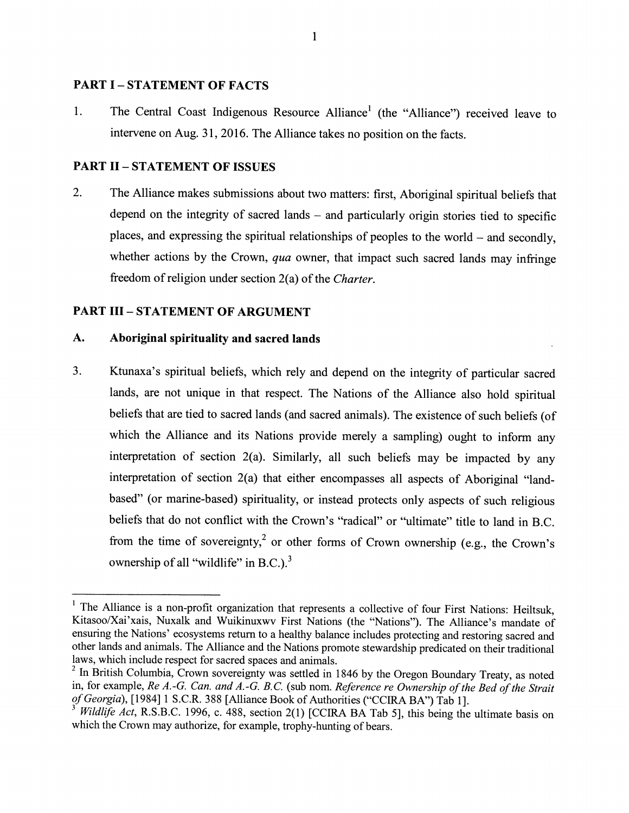#### **PART I-STATEMENT OF FACTS**

The Central Coast Indigenous Resource Alliance<sup>1</sup> (the "Alliance") received leave to  $\mathbf{1}$ . intervene on Aug. 31, 2016. The Alliance takes no position on the facts.

#### **PART II - STATEMENT OF ISSUES**

 $2.$ The Alliance makes submissions about two matters: first, Aboriginal spiritual beliefs that depend on the integrity of sacred lands – and particularly origin stories tied to specific places, and expressing the spiritual relationships of peoples to the world  $-$  and secondly. whether actions by the Crown, qua owner, that impact such sacred lands may infringe freedom of religion under section 2(a) of the Charter.

#### **PART III - STATEMENT OF ARGUMENT**

#### A. Aboriginal spirituality and sacred lands

3. Ktunaxa's spiritual beliefs, which rely and depend on the integrity of particular sacred lands, are not unique in that respect. The Nations of the Alliance also hold spiritual beliefs that are tied to sacred lands (and sacred animals). The existence of such beliefs (of which the Alliance and its Nations provide merely a sampling) ought to inform any interpretation of section 2(a). Similarly, all such beliefs may be impacted by any interpretation of section 2(a) that either encompasses all aspects of Aboriginal "landbased" (or marine-based) spirituality, or instead protects only aspects of such religious beliefs that do not conflict with the Crown's "radical" or "ultimate" title to land in B.C. from the time of sovereignty,<sup>2</sup> or other forms of Crown ownership (e.g., the Crown's ownership of all "wildlife" in B.C.).<sup>3</sup>

<sup>&</sup>lt;sup>1</sup> The Alliance is a non-profit organization that represents a collective of four First Nations: Heiltsuk, Kitasoo/Xai'xais, Nuxalk and Wuikinuxwv First Nations (the "Nations"). The Alliance's mandate of ensuring the Nations' ecosystems return to a healthy balance includes protecting and restoring sacred and other lands and animals. The Alliance and the Nations promote stewardship predicated on their traditional laws, which include respect for sacred spaces and animals.

<sup>&</sup>lt;sup>2</sup> In British Columbia, Crown sovereignty was settled in 1846 by the Oregon Boundary Treaty, as noted in, for example, Re A.-G. Can. and A.-G. B.C. (sub nom. Reference re Ownership of the Bed of the Strait of Georgia), [1984] 1 S.C.R. 388 [Alliance Book of Authorities ("CCIRA BA") Tab 1].

Wildlife Act, R.S.B.C. 1996, c. 488, section 2(1) [CCIRA BA Tab 5], this being the ultimate basis on which the Crown may authorize, for example, trophy-hunting of bears.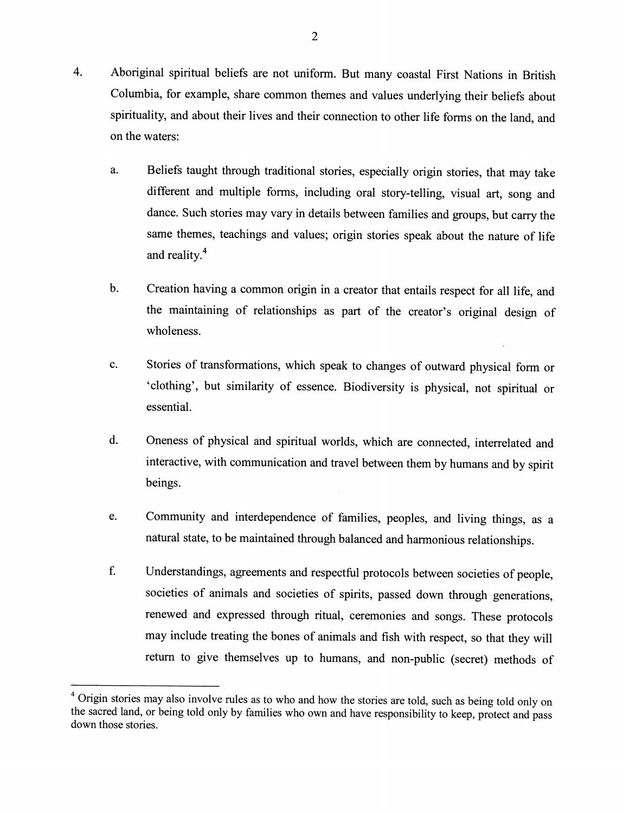- $\overline{4}$ . Aboriginal spiritual beliefs are not uniform. But many coastal First Nations in British Columbia, for example, share common themes and values underlying their beliefs about spirituality, and about their lives and their connection to other life forms on the land, and on the waters:
	- Beliefs taught through traditional stories, especially origin stories, that may take a. different and multiple forms, including oral story-telling, visual art, song and dance. Such stories may vary in details between families and groups, but carry the same themes, teachings and values; origin stories speak about the nature of life and reality.<sup>4</sup>
	- Creation having a common origin in a creator that entails respect for all life, and  $\mathbf b$ . the maintaining of relationships as part of the creator's original design of wholeness.
	- Stories of transformations, which speak to changes of outward physical form or c. 'clothing', but similarity of essence. Biodiversity is physical, not spiritual or essential.
	- Oneness of physical and spiritual worlds, which are connected, interrelated and d. interactive, with communication and travel between them by humans and by spirit beings.
	- Community and interdependence of families, peoples, and living things, as a e. natural state, to be maintained through balanced and harmonious relationships.
	- f. Understandings, agreements and respectful protocols between societies of people, societies of animals and societies of spirits, passed down through generations, renewed and expressed through ritual, ceremonies and songs. These protocols may include treating the bones of animals and fish with respect, so that they will return to give themselves up to humans, and non-public (secret) methods of

<sup>&</sup>lt;sup>4</sup> Origin stories may also involve rules as to who and how the stories are told, such as being told only on the sacred land, or being told only by families who own and have responsibility to keep, protect and pass down those stories.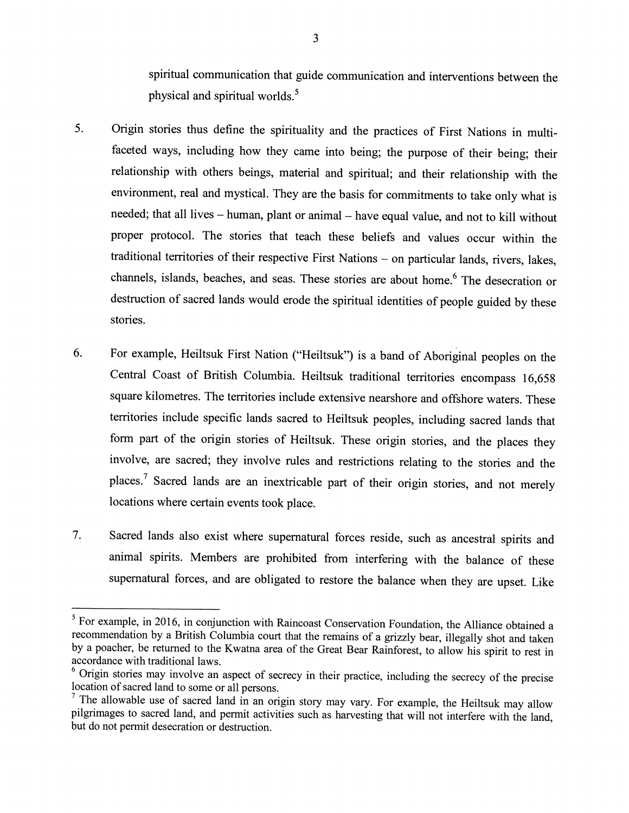spiritual communication that guide communication and interventions between the physical and spiritual worlds.<sup>5</sup>

- 5. Origin stories thus define the spirituality and the practices of First Nations in multifaceted ways, including how they came into being; the purpose of their being; their relationship with others beings, material and spiritual; and their relationship with the environment, real and mystical. They are the basis for commitments to take only what is needed; that all lives - human, plant or animal - have equal value, and not to kill without proper protocol. The stories that teach these beliefs and values occur within the traditional territories of their respective First Nations - on particular lands, rivers, lakes, channels, islands, beaches, and seas. These stories are about home.<sup>6</sup> The desecration or destruction of sacred lands would erode the spiritual identities of people guided by these stories.
- For example, Heiltsuk First Nation ("Heiltsuk") is a band of Aboriginal peoples on the 6. Central Coast of British Columbia. Heiltsuk traditional territories encompass 16,658 square kilometres. The territories include extensive nearshore and offshore waters. These territories include specific lands sacred to Heiltsuk peoples, including sacred lands that form part of the origin stories of Heiltsuk. These origin stories, and the places they involve, are sacred; they involve rules and restrictions relating to the stories and the places.<sup>7</sup> Sacred lands are an inextricable part of their origin stories, and not merely locations where certain events took place.
- 7. Sacred lands also exist where supernatural forces reside, such as ancestral spirits and animal spirits. Members are prohibited from interfering with the balance of these supernatural forces, and are obligated to restore the balance when they are upset. Like

<sup>&</sup>lt;sup>5</sup> For example, in 2016, in conjunction with Raincoast Conservation Foundation, the Alliance obtained a recommendation by a British Columbia court that the remains of a grizzly bear, illegally shot and taken by a poacher, be returned to the Kwatna area of the Great Bear Rainforest, to allow his spirit to rest in accordance with traditional laws.

<sup>&</sup>lt;sup>6</sup> Origin stories may involve an aspect of secrecy in their practice, including the secrecy of the precise location of sacred land to some or all persons.

 $\frac{1}{1}$  The allowable use of sacred land in an origin story may vary. For example, the Heiltsuk may allow pilgrimages to sacred land, and permit activities such as harvesting that will not interfere with the land, but do not permit desecration or destruction.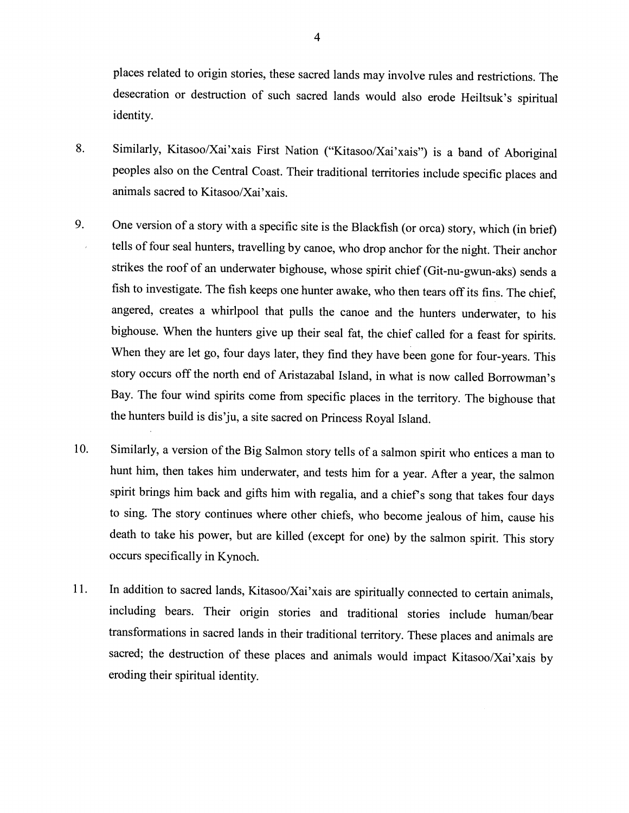places related to origin stories, these sacred lands may involve rules and restrictions. The desecration or destruction of such sacred lands would also erode Heiltsuk's spiritual identity.

- 8. Similarly, Kitasoo/Xai'xais First Nation ("Kitasoo/Xai'xais") is a band of Aboriginal peoples also on the Central Coast. Their traditional territories include specific places and animals sacred to Kitasoo/Xai'xais.
- One version of a story with a specific site is the Blackfish (or orca) story, which (in brief) 9. tells of four seal hunters, travelling by canoe, who drop anchor for the night. Their anchor strikes the roof of an underwater bighouse, whose spirit chief (Git-nu-gwun-aks) sends a fish to investigate. The fish keeps one hunter awake, who then tears off its fins. The chief, angered, creates a whirlpool that pulls the canoe and the hunters underwater, to his bighouse. When the hunters give up their seal fat, the chief called for a feast for spirits. When they are let go, four days later, they find they have been gone for four-years. This story occurs off the north end of Aristazabal Island, in what is now called Borrowman's Bay. The four wind spirits come from specific places in the territory. The bighouse that the hunters build is dis'ju, a site sacred on Princess Royal Island.
- Similarly, a version of the Big Salmon story tells of a salmon spirit who entices a man to 10. hunt him, then takes him underwater, and tests him for a year. After a year, the salmon spirit brings him back and gifts him with regalia, and a chief's song that takes four days to sing. The story continues where other chiefs, who become jealous of him, cause his death to take his power, but are killed (except for one) by the salmon spirit. This story occurs specifically in Kynoch.
- 11. In addition to sacred lands, Kitasoo/Xai'xais are spiritually connected to certain animals, including bears. Their origin stories and traditional stories include human/bear transformations in sacred lands in their traditional territory. These places and animals are sacred; the destruction of these places and animals would impact Kitasoo/Xai'xais by eroding their spiritual identity.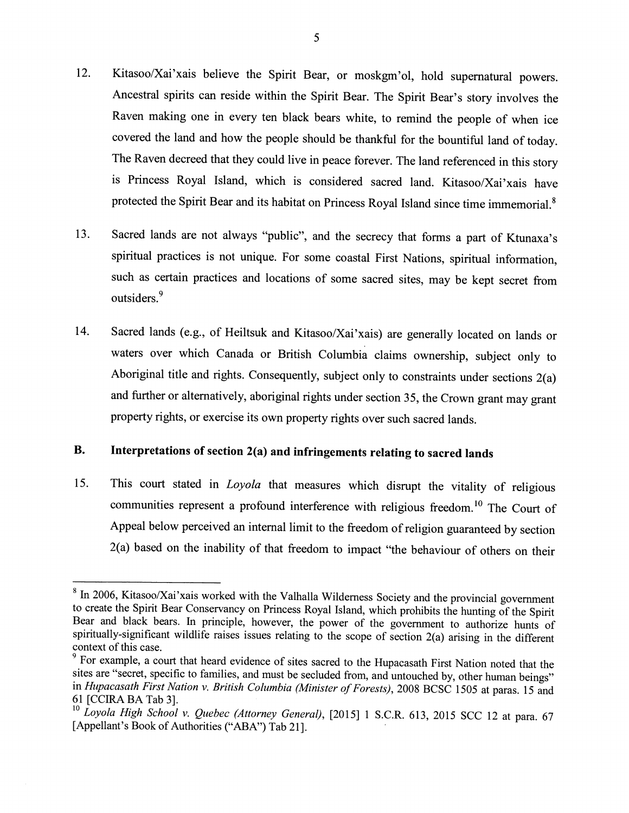- Kitasoo/Xai'xais believe the Spirit Bear, or moskgm'ol, hold supernatural powers. 12. Ancestral spirits can reside within the Spirit Bear. The Spirit Bear's story involves the Raven making one in every ten black bears white, to remind the people of when ice covered the land and how the people should be thankful for the bountiful land of today. The Raven decreed that they could live in peace forever. The land referenced in this story is Princess Royal Island, which is considered sacred land. Kitasoo/Xai'xais have protected the Spirit Bear and its habitat on Princess Royal Island since time immemorial.<sup>8</sup>
- Sacred lands are not always "public", and the secrecy that forms a part of Ktunaxa's 13. spiritual practices is not unique. For some coastal First Nations, spiritual information, such as certain practices and locations of some sacred sites, may be kept secret from outsiders.<sup>9</sup>
- Sacred lands (e.g., of Heiltsuk and Kitasoo/Xai'xais) are generally located on lands or 14. waters over which Canada or British Columbia claims ownership, subject only to Aboriginal title and rights. Consequently, subject only to constraints under sections  $2(a)$ and further or alternatively, aboriginal rights under section 35, the Crown grant may grant property rights, or exercise its own property rights over such sacred lands.

#### **B.** Interpretations of section 2(a) and infringements relating to sacred lands

This court stated in *Loyola* that measures which disrupt the vitality of religious 15. communities represent a profound interference with religious freedom.<sup>10</sup> The Court of Appeal below perceived an internal limit to the freedom of religion guaranteed by section 2(a) based on the inability of that freedom to impact "the behaviour of others on their

<sup>&</sup>lt;sup>8</sup> In 2006, Kitasoo/Xai'xais worked with the Valhalla Wilderness Society and the provincial government to create the Spirit Bear Conservancy on Princess Royal Island, which prohibits the hunting of the Spirit Bear and black bears. In principle, however, the power of the government to authorize hunts of spiritually-significant wildlife raises issues relating to the scope of section 2(a) arising in the different context of this case.

<sup>&</sup>lt;sup>9</sup> For example, a court that heard evidence of sites sacred to the Hupacasath First Nation noted that the sites are "secret, specific to families, and must be secluded from, and untouched by, other human beings" in Hupacasath First Nation v. British Columbia (Minister of Forests), 2008 BCSC 1505 at paras. 15 and 61 [CCIRA BA Tab 3].

<sup>&</sup>lt;sup>10</sup> Loyola High School v. Quebec (Attorney General), [2015] 1 S.C.R. 613, 2015 SCC 12 at para. 67 [Appellant's Book of Authorities ("ABA") Tab 21].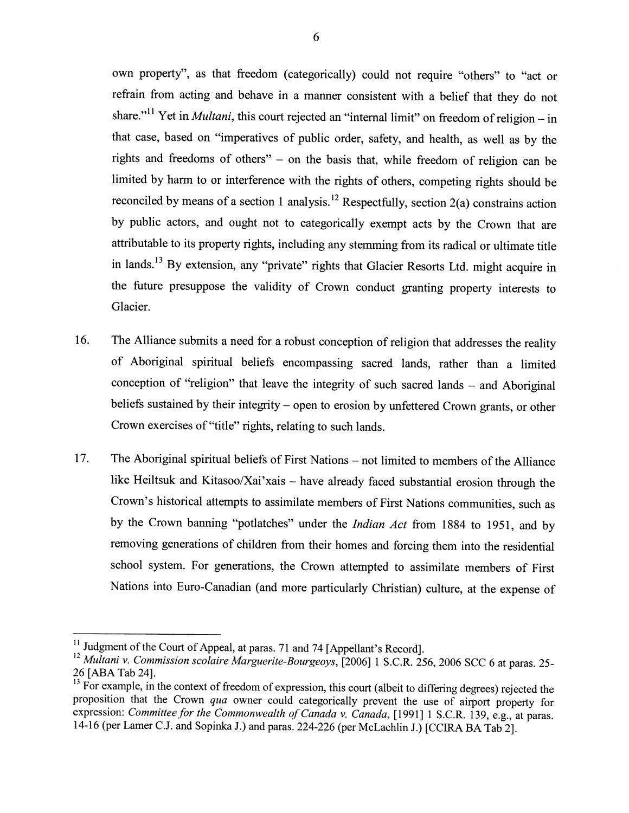own property", as that freedom (categorically) could not require "others" to "act or refrain from acting and behave in a manner consistent with a belief that they do not share."<sup>11</sup> Yet in *Multani*, this court rejected an "internal limit" on freedom of religion – in that case, based on "imperatives of public order, safety, and health, as well as by the rights and freedoms of others" - on the basis that, while freedom of religion can be limited by harm to or interference with the rights of others, competing rights should be reconciled by means of a section 1 analysis.<sup>12</sup> Respectfully, section  $2(a)$  constrains action by public actors, and ought not to categorically exempt acts by the Crown that are attributable to its property rights, including any stemming from its radical or ultimate title in lands.<sup>13</sup> By extension, any "private" rights that Glacier Resorts Ltd. might acquire in the future presuppose the validity of Crown conduct granting property interests to Glacier.

- 16. The Alliance submits a need for a robust conception of religion that addresses the reality of Aboriginal spiritual beliefs encompassing sacred lands, rather than a limited conception of "religion" that leave the integrity of such sacred lands – and Aboriginal beliefs sustained by their integrity – open to erosion by unfettered Crown grants, or other Crown exercises of "title" rights, relating to such lands.
- The Aboriginal spiritual beliefs of First Nations not limited to members of the Alliance 17. like Heiltsuk and Kitasoo/Xai'xais - have already faced substantial erosion through the Crown's historical attempts to assimilate members of First Nations communities, such as by the Crown banning "potlatches" under the Indian Act from 1884 to 1951, and by removing generations of children from their homes and forcing them into the residential school system. For generations, the Crown attempted to assimilate members of First Nations into Euro-Canadian (and more particularly Christian) culture, at the expense of

<sup>&</sup>lt;sup>11</sup> Judgment of the Court of Appeal, at paras. 71 and 74 [Appellant's Record].

<sup>&</sup>lt;sup>12</sup> Multani v. Commission scolaire Marguerite-Bourgeoys, [2006] 1 S.C.R. 256, 2006 SCC 6 at paras. 25-26 [ABA Tab 24].

<sup>&</sup>lt;sup>13</sup> For example, in the context of freedom of expression, this court (albeit to differing degrees) rejected the proposition that the Crown qua owner could categorically prevent the use of airport property for expression: Committee for the Commonwealth of Canada v. Canada, [1991] 1 S.C.R. 139, e.g., at paras. 14-16 (per Lamer C.J. and Sopinka J.) and paras. 224-226 (per McLachlin J.) [CCIRA BA Tab 2].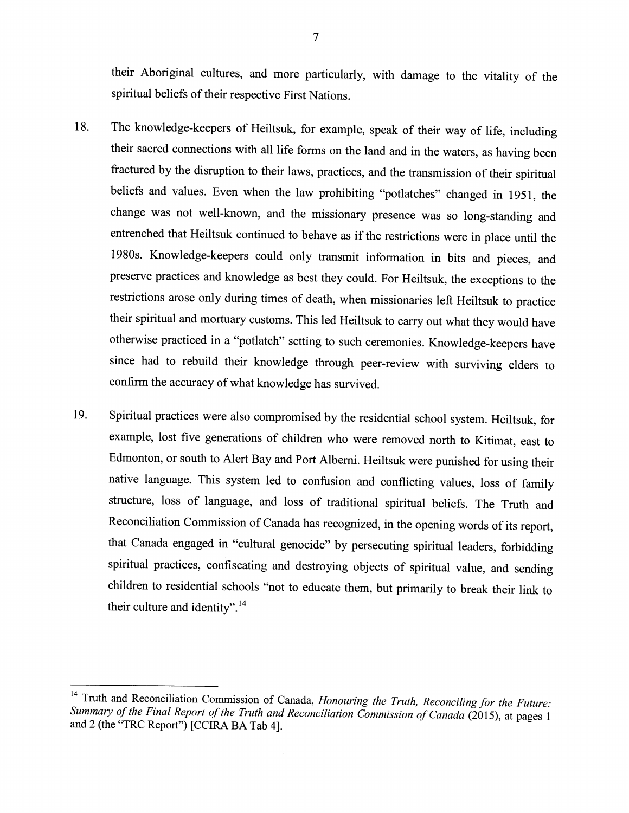their Aboriginal cultures, and more particularly, with damage to the vitality of the spiritual beliefs of their respective First Nations.

- The knowledge-keepers of Heiltsuk, for example, speak of their way of life, including 18. their sacred connections with all life forms on the land and in the waters, as having been fractured by the disruption to their laws, practices, and the transmission of their spiritual beliefs and values. Even when the law prohibiting "potlatches" changed in 1951, the change was not well-known, and the missionary presence was so long-standing and entrenched that Heiltsuk continued to behave as if the restrictions were in place until the 1980s. Knowledge-keepers could only transmit information in bits and pieces, and preserve practices and knowledge as best they could. For Heiltsuk, the exceptions to the restrictions arose only during times of death, when missionaries left Heiltsuk to practice their spiritual and mortuary customs. This led Heiltsuk to carry out what they would have otherwise practiced in a "potlatch" setting to such ceremonies. Knowledge-keepers have since had to rebuild their knowledge through peer-review with surviving elders to confirm the accuracy of what knowledge has survived.
- Spiritual practices were also compromised by the residential school system. Heiltsuk, for 19. example, lost five generations of children who were removed north to Kitimat, east to Edmonton, or south to Alert Bay and Port Alberni. Heiltsuk were punished for using their native language. This system led to confusion and conflicting values, loss of family structure, loss of language, and loss of traditional spiritual beliefs. The Truth and Reconciliation Commission of Canada has recognized, in the opening words of its report, that Canada engaged in "cultural genocide" by persecuting spiritual leaders, forbidding spiritual practices, confiscating and destroying objects of spiritual value, and sending children to residential schools "not to educate them, but primarily to break their link to their culture and identity".<sup>14</sup>

<sup>&</sup>lt;sup>14</sup> Truth and Reconciliation Commission of Canada, Honouring the Truth, Reconciling for the Future: Summary of the Final Report of the Truth and Reconciliation Commission of Canada (2015), at pages 1 and 2 (the "TRC Report") [CCIRA BA Tab 4].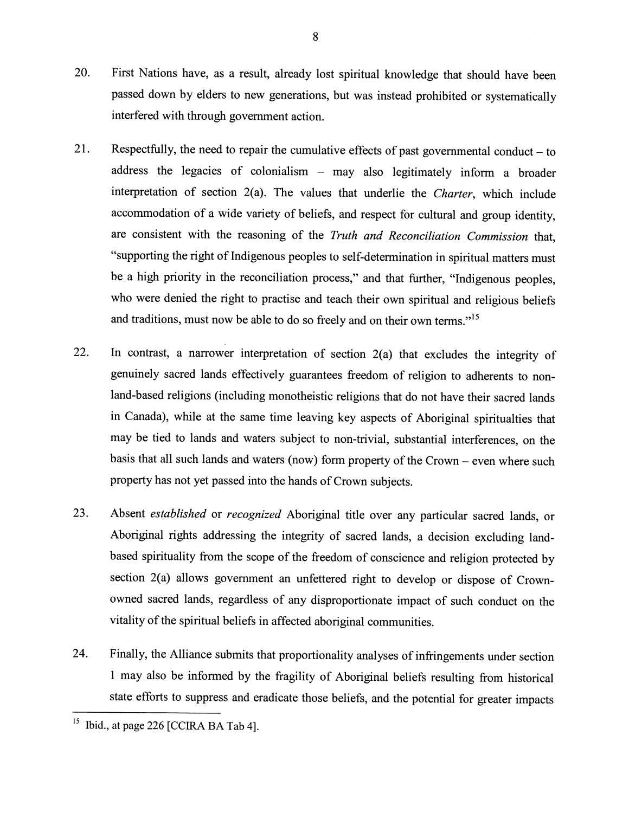- 20. First Nations have, as a result, already lost spiritual knowledge that should have been passed down by elders to new generations, but was instead prohibited or systematically interfered with through government action.
- 21. Respectfully, the need to repair the cumulative effects of past governmental conduct  $-$  to address the legacies of colonialism - may also legitimately inform a broader interpretation of section 2(a). The values that underlie the Charter, which include accommodation of a wide variety of beliefs, and respect for cultural and group identity, are consistent with the reasoning of the Truth and Reconciliation Commission that, "supporting the right of Indigenous peoples to self-determination in spiritual matters must be a high priority in the reconciliation process," and that further, "Indigenous peoples, who were denied the right to practise and teach their own spiritual and religious beliefs and traditions, must now be able to do so freely and on their own terms."<sup>15</sup>
- 22. In contrast, a narrower interpretation of section 2(a) that excludes the integrity of genuinely sacred lands effectively guarantees freedom of religion to adherents to nonland-based religions (including monotheistic religions that do not have their sacred lands in Canada), while at the same time leaving key aspects of Aboriginal spiritualties that may be tied to lands and waters subject to non-trivial, substantial interferences, on the basis that all such lands and waters (now) form property of the Crown – even where such property has not yet passed into the hands of Crown subjects.
- 23. Absent established or recognized Aboriginal title over any particular sacred lands, or Aboriginal rights addressing the integrity of sacred lands, a decision excluding landbased spirituality from the scope of the freedom of conscience and religion protected by section 2(a) allows government an unfettered right to develop or dispose of Crownowned sacred lands, regardless of any disproportionate impact of such conduct on the vitality of the spiritual beliefs in affected aboriginal communities.
- Finally, the Alliance submits that proportionality analyses of infringements under section 24. 1 may also be informed by the fragility of Aboriginal beliefs resulting from historical state efforts to suppress and eradicate those beliefs, and the potential for greater impacts

 $15<sub>15</sub>$ Ibid., at page 226 [CCIRA BA Tab 4].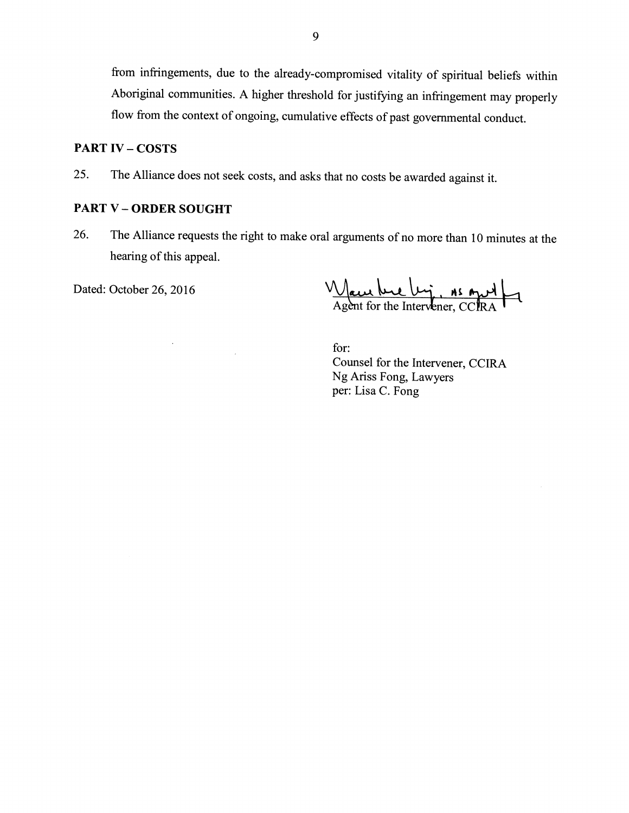from infringements, due to the already-compromised vitality of spiritual beliefs within Aboriginal communities. A higher threshold for justifying an infringement may properly flow from the context of ongoing, cumulative effects of past governmental conduct.

#### **PART IV - COSTS**

The Alliance does not seek costs, and asks that no costs be awarded against it. 25.

# **PART V - ORDER SOUGHT**

The Alliance requests the right to make oral arguments of no more than 10 minutes at the 26. hearing of this appeal.

Dated: October 26, 2016

Agent for the Ly, As And

for: Counsel for the Intervener, CCIRA Ng Ariss Fong, Lawyers per: Lisa C. Fong